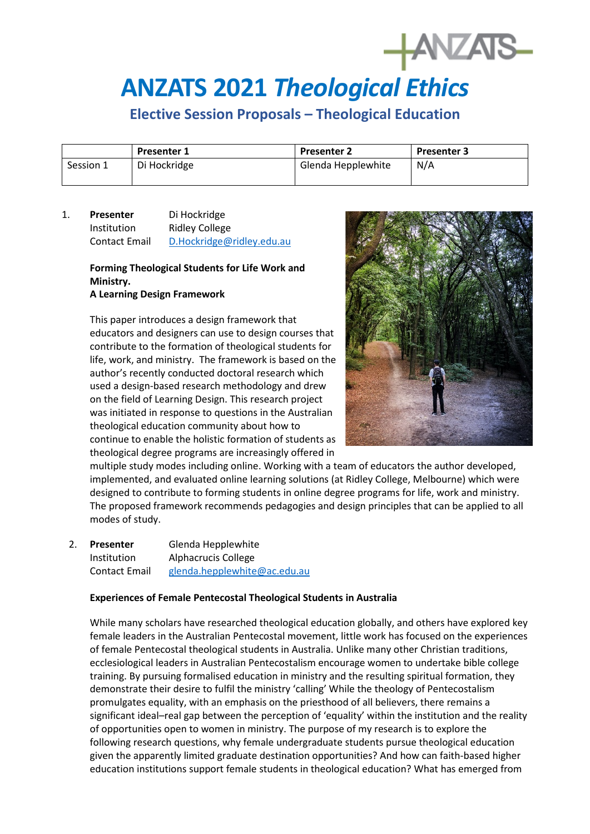# **ANZATS 2021** *Theological Ethics*

# **Elective Session Proposals – Theological Education**

|           | <b>Presenter 1</b> | <b>Presenter 2</b> | <b>Presenter 3</b> |
|-----------|--------------------|--------------------|--------------------|
| Session 1 | Di Hockridge       | Glenda Hepplewhite | N/A                |

# 1. **Presenter** Di Hockridge Institution Ridley College Contact Email D.Hockridge@ridley.edu.au

#### **Forming Theological Students for Life Work and Ministry. A Learning Design Framework**

# This paper introduces a design framework that educators and designers can use to design courses that contribute to the formation of theological students for life, work, and ministry. The framework is based on the author's recently conducted doctoral research which used a design-based research methodology and drew on the field of Learning Design. This research project was initiated in response to questions in the Australian theological education community about how to continue to enable the holistic formation of students as theological degree programs are increasingly offered in



multiple study modes including online. Working with a team of educators the author developed, implemented, and evaluated online learning solutions (at Ridley College, Melbourne) which were designed to contribute to forming students in online degree programs for life, work and ministry. The proposed framework recommends pedagogies and design principles that can be applied to all modes of study.

## 2. **Presenter** Glenda Hepplewhite Institution Alphacrucis College Contact Email [glenda.hepplewhite@ac.edu.au](mailto:glenda.hepplewhite@ac.edu.au)

## **Experiences of Female Pentecostal Theological Students in Australia**

While many scholars have researched theological education globally, and others have explored key female leaders in the Australian Pentecostal movement, little work has focused on the experiences of female Pentecostal theological students in Australia. Unlike many other Christian traditions, ecclesiological leaders in Australian Pentecostalism encourage women to undertake bible college training. By pursuing formalised education in ministry and the resulting spiritual formation, they demonstrate their desire to fulfil the ministry 'calling' While the theology of Pentecostalism promulgates equality, with an emphasis on the priesthood of all believers, there remains a significant ideal–real gap between the perception of 'equality' within the institution and the reality of opportunities open to women in ministry. The purpose of my research is to explore the following research questions, why female undergraduate students pursue theological education given the apparently limited graduate destination opportunities? And how can faith-based higher education institutions support female students in theological education? What has emerged from